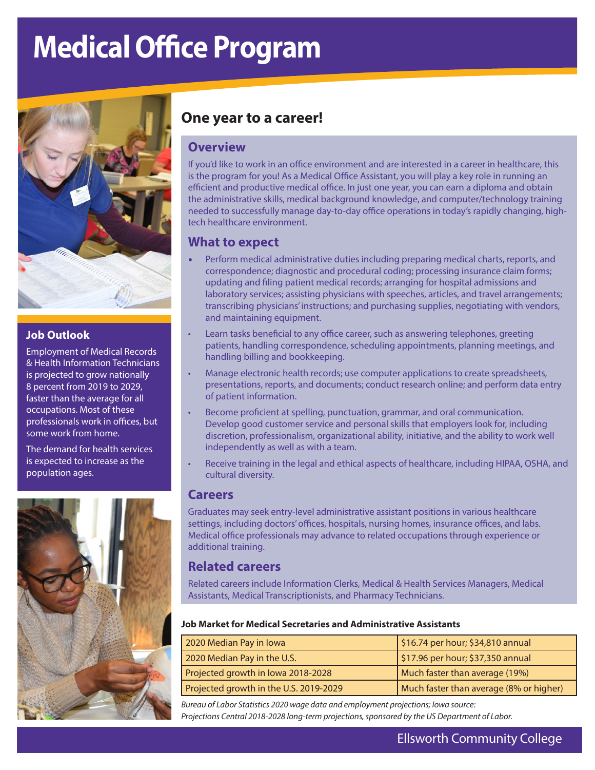# **Medical Office Program**



#### **Job Outlook**

Employment of Medical Records & Health Information Technicians is projected to grow nationally 8 percent from 2019 to 2029, faster than the average for all occupations. Most of these professionals work in offices, but some work from home.

The demand for health services is expected to increase as the population ages.



# **One year to a career!**

## **Overview**

If you'd like to work in an office environment and are interested in a career in healthcare, this is the program for you! As a Medical Office Assistant, you will play a key role in running an efficient and productive medical office. In just one year, you can earn a diploma and obtain the administrative skills, medical background knowledge, and computer/technology training needed to successfully manage day-to-day office operations in today's rapidly changing, hightech healthcare environment.

## **What to expect**

- Perform medical administrative duties including preparing medical charts, reports, and correspondence; diagnostic and procedural coding; processing insurance claim forms; updating and filing patient medical records; arranging for hospital admissions and laboratory services; assisting physicians with speeches, articles, and travel arrangements; transcribing physicians' instructions; and purchasing supplies, negotiating with vendors, and maintaining equipment.
- Learn tasks beneficial to any office career, such as answering telephones, greeting patients, handling correspondence, scheduling appointments, planning meetings, and handling billing and bookkeeping.
- Manage electronic health records; use computer applications to create spreadsheets, presentations, reports, and documents; conduct research online; and perform data entry of patient information.
- Become proficient at spelling, punctuation, grammar, and oral communication. Develop good customer service and personal skills that employers look for, including discretion, professionalism, organizational ability, initiative, and the ability to work well independently as well as with a team.
- Receive training in the legal and ethical aspects of healthcare, including HIPAA, OSHA, and cultural diversity.

#### **Careers**

Graduates may seek entry-level administrative assistant positions in various healthcare settings, including doctors' offices, hospitals, nursing homes, insurance offices, and labs. Medical office professionals may advance to related occupations through experience or additional training.

## **Related careers**

Related careers include Information Clerks, Medical & Health Services Managers, Medical Assistants, Medical Transcriptionists, and Pharmacy Technicians.

#### **Job Market for Medical Secretaries and Administrative Assistants**

| 2020 Median Pay in Iowa                | $\frac{1}{2}$ \$16.74 per hour; \$34,810 annual |
|----------------------------------------|-------------------------------------------------|
| 2020 Median Pay in the U.S.            | $\frac{1}{2}$ \$17.96 per hour; \$37,350 annual |
| Projected growth in Iowa 2018-2028     | Much faster than average (19%)                  |
| Projected growth in the U.S. 2019-2029 | Much faster than average (8% or higher)         |

*Bureau of Labor Statistics 2020 wage data and employment projections; Iowa source: Projections Central 2018-2028 long-term projections, sponsored by the US Department of Labor.*